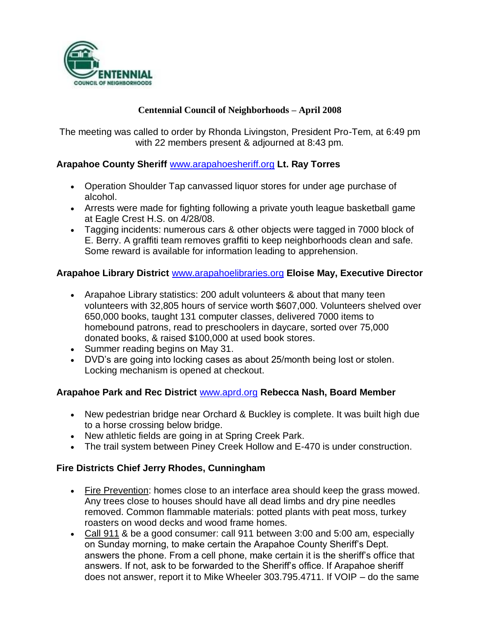

#### **Centennial Council of Neighborhoods – April 2008**

The meeting was called to order by Rhonda Livingston, President Pro-Tem, at 6:49 pm with 22 members present & adjourned at 8:43 pm.

#### **Arapahoe County Sheriff** [www.arapahoesheriff.org](http://www.arapahoesheriff.org/) **Lt. Ray Torres**

- Operation Shoulder Tap canvassed liquor stores for under age purchase of alcohol.
- Arrests were made for fighting following a private youth league basketball game at Eagle Crest H.S. on 4/28/08.
- Tagging incidents: numerous cars & other objects were tagged in 7000 block of E. Berry. A graffiti team removes graffiti to keep neighborhoods clean and safe. Some reward is available for information leading to apprehension.

#### **Arapahoe Library District** [www.arapahoelibraries.org](http://www.arapahoelibraries.org/) **Eloise May, Executive Director**

- Arapahoe Library statistics: 200 adult volunteers & about that many teen volunteers with 32,805 hours of service worth \$607,000. Volunteers shelved over 650,000 books, taught 131 computer classes, delivered 7000 items to homebound patrons, read to preschoolers in daycare, sorted over 75,000 donated books, & raised \$100,000 at used book stores.
- Summer reading begins on May 31.
- DVD's are going into locking cases as about 25/month being lost or stolen. Locking mechanism is opened at checkout.

#### **Arapahoe Park and Rec District** [www.aprd.org](http://www.aprd.org/) **Rebecca Nash, Board Member**

- New pedestrian bridge near Orchard & Buckley is complete. It was built high due to a horse crossing below bridge.
- New athletic fields are going in at Spring Creek Park.
- The trail system between Piney Creek Hollow and E-470 is under construction.

#### **Fire Districts Chief Jerry Rhodes, Cunningham**

- Fire Prevention: homes close to an interface area should keep the grass mowed. Any trees close to houses should have all dead limbs and dry pine needles removed. Common flammable materials: potted plants with peat moss, turkey roasters on wood decks and wood frame homes.
- Call 911 & be a good consumer: call 911 between 3:00 and 5:00 am, especially on Sunday morning, to make certain the Arapahoe County Sheriff's Dept. answers the phone. From a cell phone, make certain it is the sheriff's office that answers. If not, ask to be forwarded to the Sheriff's office. If Arapahoe sheriff does not answer, report it to Mike Wheeler 303.795.4711. If VOIP – do the same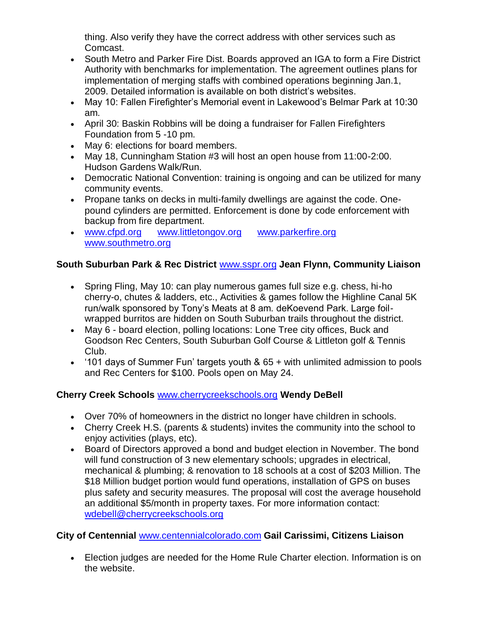thing. Also verify they have the correct address with other services such as Comcast.

- South Metro and Parker Fire Dist. Boards approved an IGA to form a Fire District Authority with benchmarks for implementation. The agreement outlines plans for implementation of merging staffs with combined operations beginning Jan.1, 2009. Detailed information is available on both district's websites.
- May 10: Fallen Firefighter's Memorial event in Lakewood's Belmar Park at 10:30 am.
- April 30: Baskin Robbins will be doing a fundraiser for Fallen Firefighters Foundation from 5 -10 pm.
- May 6: elections for board members.
- May 18, Cunningham Station #3 will host an open house from 11:00-2:00. Hudson Gardens Walk/Run.
- Democratic National Convention: training is ongoing and can be utilized for many community events.
- Propane tanks on decks in multi-family dwellings are against the code. Onepound cylinders are permitted. Enforcement is done by code enforcement with backup from fire department.
- [www.cfpd.org](http://www.cfpd.org/) [www.littletongov.org](http://www.littletongov.org/) [www.parkerfire.org](http://www.parkerfire.org/)  [www.southmetro.org](http://www.southmetro.org/)

# **South Suburban Park & Rec District** [www.sspr.org](http://www.sspr.org/) **Jean Flynn, Community Liaison**

- Spring Fling, May 10: can play numerous games full size e.g. chess, hi-ho cherry-o, chutes & ladders, etc., Activities & games follow the Highline Canal 5K run/walk sponsored by Tony's Meats at 8 am. deKoevend Park. Large foilwrapped burritos are hidden on South Suburban trails throughout the district.
- May 6 board election, polling locations: Lone Tree city offices, Buck and Goodson Rec Centers, South Suburban Golf Course & Littleton golf & Tennis Club.
- '101 days of Summer Fun' targets youth & 65 + with unlimited admission to pools and Rec Centers for \$100. Pools open on May 24.

# **Cherry Creek Schools** [www.cherrycreekschools.org](http://www.cherrycreekschools.org/) **Wendy DeBell**

- Over 70% of homeowners in the district no longer have children in schools.
- Cherry Creek H.S. (parents & students) invites the community into the school to enjoy activities (plays, etc).
- Board of Directors approved a bond and budget election in November. The bond will fund construction of 3 new elementary schools; upgrades in electrical, mechanical & plumbing; & renovation to 18 schools at a cost of \$203 Million. The \$18 Million budget portion would fund operations, installation of GPS on buses plus safety and security measures. The proposal will cost the average household an additional \$5/month in property taxes. For more information contact: [wdebell@cherrycreekschools.org](mailto:wdebell@cherrycreekschools.org)

# **City of Centennial** [www.centennialcolorado.com](http://www.centennialcolorado.com/) **Gail Carissimi, Citizens Liaison**

 Election judges are needed for the Home Rule Charter election. Information is on the website.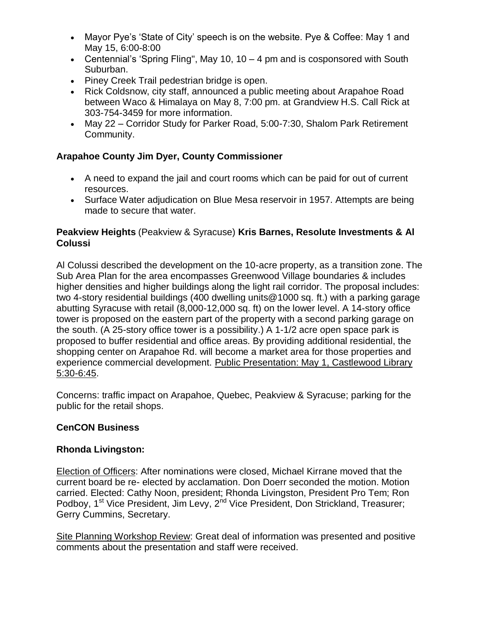- Mayor Pye's 'State of City' speech is on the website. Pye & Coffee: May 1 and May 15, 6:00-8:00
- Centennial's 'Spring Fling", May 10, 10 4 pm and is cosponsored with South Suburban.
- Piney Creek Trail pedestrian bridge is open.
- Rick Coldsnow, city staff, announced a public meeting about Arapahoe Road between Waco & Himalaya on May 8, 7:00 pm. at Grandview H.S. Call Rick at 303-754-3459 for more information.
- May 22 Corridor Study for Parker Road, 5:00-7:30, Shalom Park Retirement Community.

### **Arapahoe County Jim Dyer, County Commissioner**

- A need to expand the jail and court rooms which can be paid for out of current resources.
- Surface Water adjudication on Blue Mesa reservoir in 1957. Attempts are being made to secure that water.

### **Peakview Heights** (Peakview & Syracuse) **Kris Barnes, Resolute Investments & Al Colussi**

Al Colussi described the development on the 10-acre property, as a transition zone. The Sub Area Plan for the area encompasses Greenwood Village boundaries & includes higher densities and higher buildings along the light rail corridor. The proposal includes: two 4-story residential buildings (400 dwelling units@1000 sq. ft.) with a parking garage abutting Syracuse with retail (8,000-12,000 sq. ft) on the lower level. A 14-story office tower is proposed on the eastern part of the property with a second parking garage on the south. (A 25-story office tower is a possibility.) A 1-1/2 acre open space park is proposed to buffer residential and office areas. By providing additional residential, the shopping center on Arapahoe Rd. will become a market area for those properties and experience commercial development. Public Presentation: May 1, Castlewood Library 5:30-6:45.

Concerns: traffic impact on Arapahoe, Quebec, Peakview & Syracuse; parking for the public for the retail shops.

# **CenCON Business**

### **Rhonda Livingston:**

Election of Officers: After nominations were closed, Michael Kirrane moved that the current board be re- elected by acclamation. Don Doerr seconded the motion. Motion carried. Elected: Cathy Noon, president; Rhonda Livingston, President Pro Tem; Ron Podboy, 1<sup>st</sup> Vice President, Jim Levy, 2<sup>nd</sup> Vice President, Don Strickland, Treasurer; Gerry Cummins, Secretary.

Site Planning Workshop Review: Great deal of information was presented and positive comments about the presentation and staff were received.